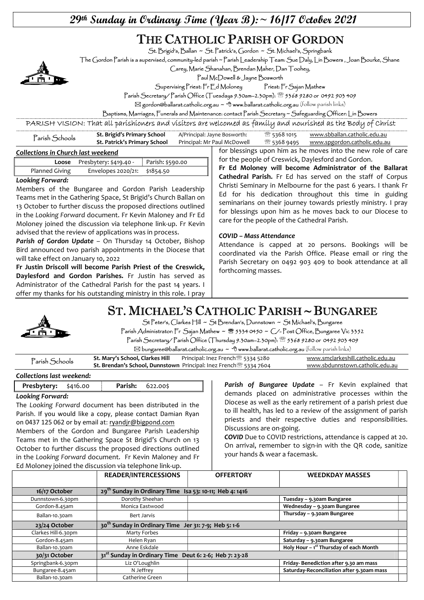$29$ <sup>th</sup> Sunday in Ordinary Time (Year B): ~ 16/17 October 2021

# THE CATHOLIC PARISH OF GORDON

St. Brigid's, Ballan ~ St. Patrick's, Gordon ~ St. Michael's, Springbank

The Gordon Parish is a supervised, community-led parish ~ Parish Leadership Team: Sue Daly, Lin Bowers , Joan Bourke, Shane

Carey, Marie Shanahan, Brendan Maher, Dan Toohey,

Paul McDowell & Jayne Bosworth

Supervising Priest: Fr Ed Moloney Priest: Fr Sajan Mathew

Parish Secretary/ Parish Office (Tuesdays 9.30am–2.30pm): 5368 9280 or 0492 903 409

 $\boxtimes$  gordon@ballarat.catholic.org.au ~  $\oplus$  www.ballarat.catholic.org.au (follow parish links)

Baptisms, Marriages, Funerals and Maintenance: contact Parish Secretary ~ Safeguarding Officer: Lin Bowers

PARISH VISION: That all parishioners and visitors are welcomed as family and nourished as the Body of Christ

| <sup>P</sup> arish Schools | St. Brigid's Primary School  | A/Principal: Jayne Bosworth: | ■ 5368 1015         www.sbballan.catholic.edu.au             |
|----------------------------|------------------------------|------------------------------|--------------------------------------------------------------|
|                            | St. Patrick's Primary School | Principal: Mr Paul McDowell  | ■ 5368 9495         www.spgordon.catholic.edu.au             |
|                            |                              |                              | tor bloccings upon bim as he mouse into the nous role of sar |

### Collections in Church last weekend

|                | <b>Loose</b> Presbytery: \$419.40 - Parish: \$590.00 |  |
|----------------|------------------------------------------------------|--|
| Planned Giving | Envelopes 2020/21: \$1854.50                         |  |

### Looking Forward:

Members of the Bungaree and Gordon Parish Leadership Teams met in the Gathering Space, St Brigid's Church Ballan on 13 October to further discuss the proposed directions outlined in the Looking Forward document. Fr Kevin Maloney and Fr Ed Moloney joined the discussion via telephone link-up. Fr Kevin advised that the review of applications was in process.

Parish of Gordon Update - On Thursday 14 October, Bishop Bird announced two parish appointments in the Diocese that will take effect on January 10, 2022

Fr Justin Driscoll will become Parish Priest of the Creswick, Daylesford and Gordon Parishes. Fr Justin has served as Administrator of the Cathedral Parish for the past 14 years. I offer my thanks for his outstanding ministry in this role. I pray

for blessings upon him as he moves into the new role of care for the people of Creswick, Daylesford and Gordon.

Fr Ed Moloney will become Administrator of the Ballarat Cathedral Parish. Fr Ed has served on the staff of Corpus Christi Seminary in Melbourne for the past 6 years. I thank Fr Ed for his dedication throughout this time in guiding seminarians on their journey towards priestly ministry. I pray for blessings upon him as he moves back to our Diocese to care for the people of the Cathedral Parish.

### COVID – Mass Attendance

Attendance is capped at 20 persons. Bookings will be coordinated via the Parish Office. Please email or ring the Parish Secretary on 0492 903 409 to book attendance at all forthcoming masses.

## ST. MICHAEL'S CATHOLIC PARISH ~ BUNGAREE

St Peter's, Clarkes Hill ~ St Brendan's, Dunnstown ~ St Michael's, Bungaree

Parish Administrator: Fr Sajan Mathew ~ <sup>8</sup> 5334 0450 ~ C/-Post Office, Bungaree Vic 3352

Parish Secretary/ Parish Office (Thursday 9.30am–2.30pm): 5368 9280 or 0492 903 409

| $\boxtimes$ bungaree@ballarat.catholic.org.au ~ ^ www.ballarat.catholic.org.au (follow parish links) |  |  |
|------------------------------------------------------------------------------------------------------|--|--|
|------------------------------------------------------------------------------------------------------|--|--|

| Parish Schools | St. Mary's School, Clarkes Hill |                                                                                      | www.smclarkeshill.catholic.edu.au |
|----------------|---------------------------------|--------------------------------------------------------------------------------------|-----------------------------------|
|                |                                 | <b>St. Brendan's School, Dunnstown</b> Principal: Inez French <sup>3</sup> 5334 7604 | www.sbdunnstown.catholic.edu.au   |

Collections last weekend:

| Presbytery: \$416.00    |  | <b>Parish:</b> 622.005 |
|-------------------------|--|------------------------|
| <b>Looking Forward:</b> |  |                        |

The Looking Forward document has been distributed in the Parish. If you would like a copy, please contact Damian Ryan on 0437 125 062 or by email at: ryandjr@bigpond.com

Members of the Gordon and Bungaree Parish Leadership Teams met in the Gathering Space St Brigid's Church on 13 October to further discuss the proposed directions outlined in the Looking Forward document. Fr Kevin Maloney and Fr Ed Moloney joined the discussion via telephone link-up.

Parish of Bungaree Update - Fr Kevin explained that demands placed on administrative processes within the Diocese as well as the early retirement of a parish priest due to ill health, has led to a review of the assignment of parish priests and their respective duties and responsibilities. Discussions are on-going.

COVID Due to COVID restrictions, attendance is capped at 20. On arrival, remember to sign-in with the QR code, sanitize your hands & wear a facemask.

|                     | <b>READER/INTERCESSIONS</b>                                         | <b>OFFERTORY</b> | <b>WEEDKDAY MASSES</b>                     |  |
|---------------------|---------------------------------------------------------------------|------------------|--------------------------------------------|--|
| 16/17 October       | 29 <sup>th</sup> Sunday in Ordinary Time Isa 53: 10-11; Heb 4: 1416 |                  |                                            |  |
| Dunnstown-6.30pm    | Dorothy Sheehan                                                     |                  | Tuesday - 9.30am Bungaree                  |  |
| Gordon-8.45am       | Monica Eastwood                                                     |                  | Wednesday - 9.30am Bungaree                |  |
| Ballan-10.30am      | Bert Jarvis                                                         |                  | Thursday - 9.30am Bungaree                 |  |
| 23/24 October       | 30 <sup>th</sup> Sunday in Ordinary Time Jer 31: 7-9; Heb 5: 1-6    |                  |                                            |  |
| Clarkes Hill-6.30pm | Marty Forbes                                                        |                  | Friday - 9.30am Bungaree                   |  |
| Gordon-8.45am       | Helen Ryan                                                          |                  | Saturday - 9.30am Bungaree                 |  |
| Ballan-10.30am      | Anne Eskdale                                                        |                  | Holy Hour $-1^{st}$ Thursday of each Month |  |
| 30/31 October       | 31 <sup>st</sup> Sunday in Ordinary Time Deut 6: 2-6; Heb 7: 23-28  |                  |                                            |  |
| Springbank-6.30pm   | Liz O'Loughlin                                                      |                  | Friday-Benediction after 9.30 am mass      |  |
| Bungaree-8.45am     | N Jeffrey                                                           |                  | Saturday-Reconciliation after 9.30am mass  |  |
| Ballan-10.30am      | Catherine Green                                                     |                  |                                            |  |